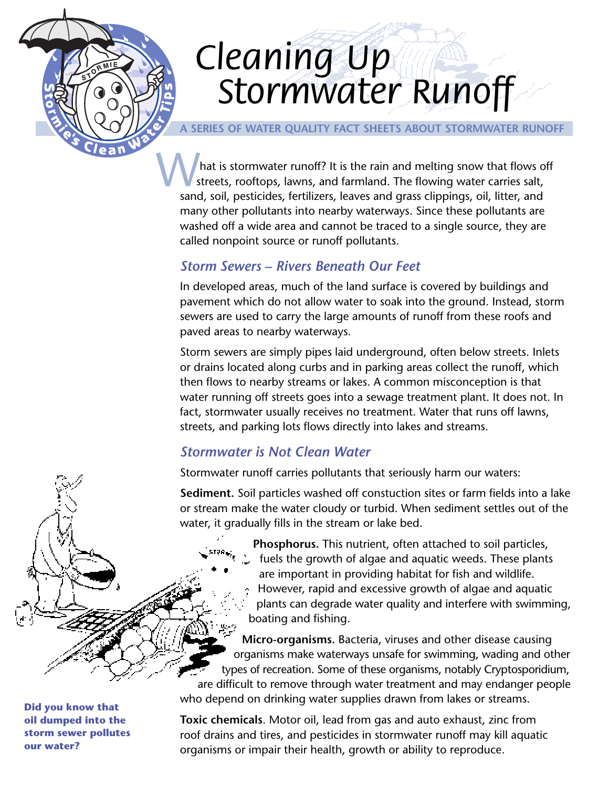# *Cleaning Up Cleaning Up Stormwater Runoff Stormwater Runoff*

#### **A SERIES OF WATER QUALITY FACT SHEETS ABOUT STORMWATER RUNOFF**

hat is stormwater runoff? It is the rain and melting snow that flows off streets, rooftops, lawns, and farmland. The flowing water carries salt, sand, soil, pesticides, fertilizers, leaves and grass clippings, oil, litter, and many other pollutants into nearby waterways. Since these pollutants are washed off a wide area and cannot be traced to a single source, they are called nonpoint source or runoff pollutants.

## *Storm Sewers – Rivers Beneath Our Feet*

In developed areas, much of the land surface is covered by buildings and pavement which do not allow water to soak into the ground. Instead, storm sewers are used to carry the large amounts of runoff from these roofs and paved areas to nearby waterways.

Storm sewers are simply pipes laid underground, often below streets. Inlets or drains located along curbs and in parking areas collect the runoff, which then flows to nearby streams or lakes. A common misconception is that water running off streets goes into a sewage treatment plant. It does not. In fact, stormwater usually receives no treatment. Water that runs off lawns, streets, and parking lots flows directly into lakes and streams.

# *Stormwater is Not Clean Water*

Stormwater runoff carries pollutants that seriously harm our waters:

**Sediment.** Soil particles washed off constuction sites or farm fields into a lake or stream make the water cloudy or turbid. When sediment settles out of the water, it gradually fills in the stream or lake bed.

> **Phosphorus.** This nutrient, often attached to soil particles, fuels the growth of algae and aquatic weeds. These plants are important in providing habitat for fish and wildlife. However, rapid and excessive growth of algae and aquatic plants can degrade water quality and interfere with swimming, boating and fishing.

**Micro-organisms.** Bacteria, viruses and other disease causing organisms make waterways unsafe for swimming, wading and other types of recreation. Some of these organisms, notably Cryptosporidium, are difficult to remove through water treatment and may endanger people who depend on drinking water supplies drawn from lakes or streams.

**Toxic chemicals**. Motor oil, lead from gas and auto exhaust, zinc from roof drains and tires, and pesticides in stormwater runoff may kill aquatic organisms or impair their health, growth or ability to reproduce.

**Did you know that oil dumped into the storm sewer pollutes our water?**